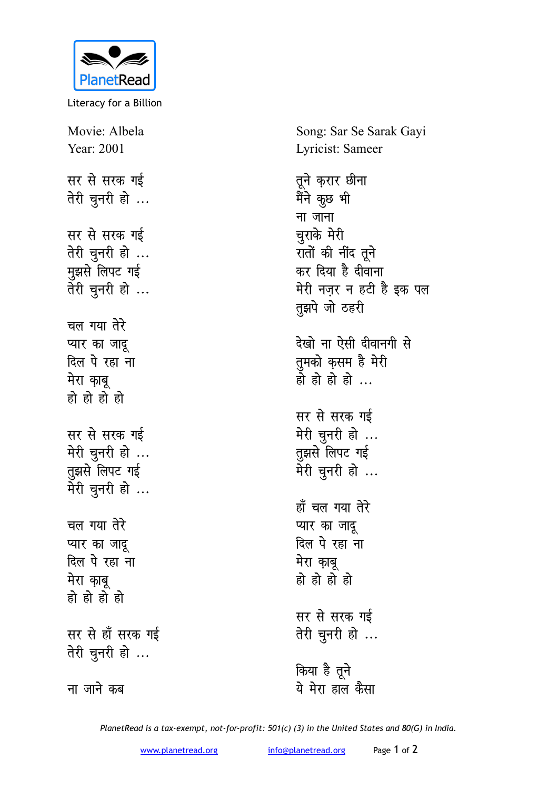

Literacy for a Billion

Movie: Albela Year: 2001 सर से सरक **ग**ई तेरी चुनरी हो ... **सर से सरक गई** तेरी चुनरी हो ... **मुझसे लिपट गई** तेरी चुनरी हो ... <u>चल गया तेरे</u> **प्यार का जादू** <u>दिल पे</u> रहा ना मेरा काबू **gh** हो हो हो सर से **सरक** गई मेरी चुनरी हो ... तुझसे लिपट गई मेरी चुनरी हो ... <u>चल गया तेरे</u> प्यार का जादू <u>दिल पे रहा ना</u> मेरा काब हो हो हो **हो** सर से **हाँ सरक** गई तेरी चुनरी हो ...

<u>ना जाने कब</u>

Song: Sar Se Sarak Gayi Lyricist: Sameer

तूने कुरार **छी**ना मैंने कुछ भी <u>ना जाना</u> **चुराके** मेरी रातों की नींद तूने कर दिया है दीवाना मेरी नज़र न हटी है इक प**ल तुझपे** जो ठहरी देखो ना ऐसी दीवानगी से तुमको क<del>ृ</del>सम है मेरी <u>हो हो हो ...</u> सर से सरक **ग**ई मेरी चुनरी हो ... **तुझसे** लिपट गई मेरी चुनरी हो ... हाँ चल गया तेरे **प्यार का जादू** <u>दिल पे रहा ना</u> **मेरा** काबू हो हो हो **हो** सर से सरक गई तेरी चुनरी हो ...

**किया है** तूने ये मेरा हाल कैसा

*PlanetRead is a tax-exempt, not-for-profit: 501(c) (3) in the United States and 80(G) in India.*